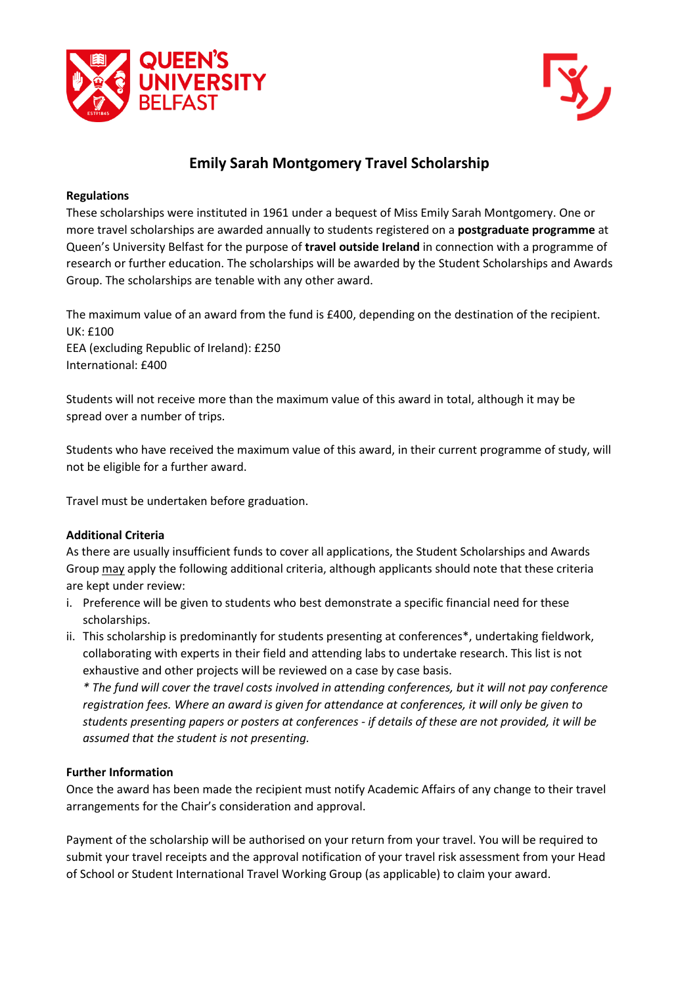



# **Emily Sarah Montgomery Travel Scholarship**

### **Regulations**

These scholarships were instituted in 1961 under a bequest of Miss Emily Sarah Montgomery. One or more travel scholarships are awarded annually to students registered on a **postgraduate programme** at Queen's University Belfast for the purpose of **travel outside Ireland** in connection with a programme of research or further education. The scholarships will be awarded by the Student Scholarships and Awards Group. The scholarships are tenable with any other award.

The maximum value of an award from the fund is £400, depending on the destination of the recipient. UK: £100 EEA (excluding Republic of Ireland): £250 International: £400

Students will not receive more than the maximum value of this award in total, although it may be spread over a number of trips.

Students who have received the maximum value of this award, in their current programme of study, will not be eligible for a further award.

Travel must be undertaken before graduation.

### **Additional Criteria**

As there are usually insufficient funds to cover all applications, the Student Scholarships and Awards Group may apply the following additional criteria, although applicants should note that these criteria are kept under review:

- i. Preference will be given to students who best demonstrate a specific financial need for these scholarships.
- ii. This scholarship is predominantly for students presenting at conferences\*, undertaking fieldwork, collaborating with experts in their field and attending labs to undertake research. This list is not exhaustive and other projects will be reviewed on a case by case basis.

*\* The fund will cover the travel costs involved in attending conferences, but it will not pay conference registration fees. Where an award is given for attendance at conferences, it will only be given to students presenting papers or posters at conferences - if details of these are not provided, it will be assumed that the student is not presenting.*

### **Further Information**

Once the award has been made the recipient must notify Academic Affairs of any change to their travel arrangements for the Chair's consideration and approval.

Payment of the scholarship will be authorised on your return from your travel. You will be required to submit your travel receipts and the approval notification of your travel risk assessment from your Head of School or Student International Travel Working Group (as applicable) to claim your award.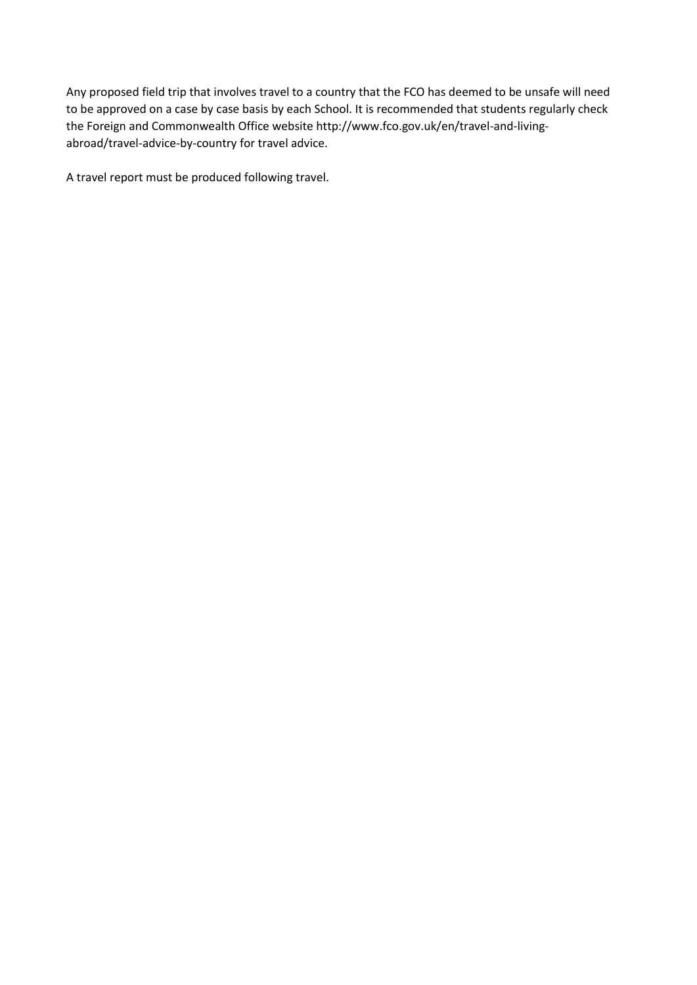Any proposed field trip that involves travel to a country that the FCO has deemed to be unsafe will need to be approved on a case by case basis by each School. It is recommended that students regularly check the Foreign and Commonwealth Office website http://www.fco.gov.uk/en/travel-and-livingabroad/travel-advice-by-country for travel advice.

A travel report must be produced following travel.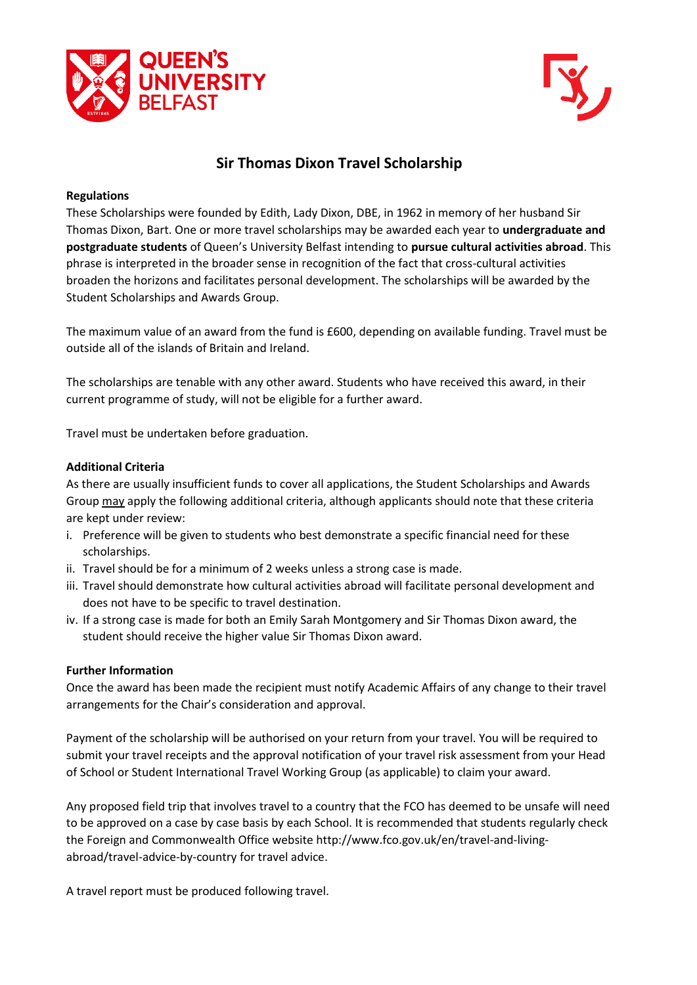



## **Sir Thomas Dixon Travel Scholarship**

### **Regulations**

These Scholarships were founded by Edith, Lady Dixon, DBE, in 1962 in memory of her husband Sir Thomas Dixon, Bart. One or more travel scholarships may be awarded each year to **undergraduate and postgraduate students** of Queen's University Belfast intending to **pursue cultural activities abroad**. This phrase is interpreted in the broader sense in recognition of the fact that cross-cultural activities broaden the horizons and facilitates personal development. The scholarships will be awarded by the Student Scholarships and Awards Group.

The maximum value of an award from the fund is £600, depending on available funding. Travel must be outside all of the islands of Britain and Ireland.

The scholarships are tenable with any other award. Students who have received this award, in their current programme of study, will not be eligible for a further award.

Travel must be undertaken before graduation.

### **Additional Criteria**

As there are usually insufficient funds to cover all applications, the Student Scholarships and Awards Group may apply the following additional criteria, although applicants should note that these criteria are kept under review:

- i. Preference will be given to students who best demonstrate a specific financial need for these scholarships.
- ii. Travel should be for a minimum of 2 weeks unless a strong case is made.
- iii. Travel should demonstrate how cultural activities abroad will facilitate personal development and does not have to be specific to travel destination.
- iv. If a strong case is made for both an Emily Sarah Montgomery and Sir Thomas Dixon award, the student should receive the higher value Sir Thomas Dixon award.

### **Further Information**

Once the award has been made the recipient must notify Academic Affairs of any change to their travel arrangements for the Chair's consideration and approval.

Payment of the scholarship will be authorised on your return from your travel. You will be required to submit your travel receipts and the approval notification of your travel risk assessment from your Head of School or Student International Travel Working Group (as applicable) to claim your award.

Any proposed field trip that involves travel to a country that the FCO has deemed to be unsafe will need to be approved on a case by case basis by each School. It is recommended that students regularly check the Foreign and Commonwealth Office website http://www.fco.gov.uk/en/travel-and-livingabroad/travel-advice-by-country for travel advice.

A travel report must be produced following travel.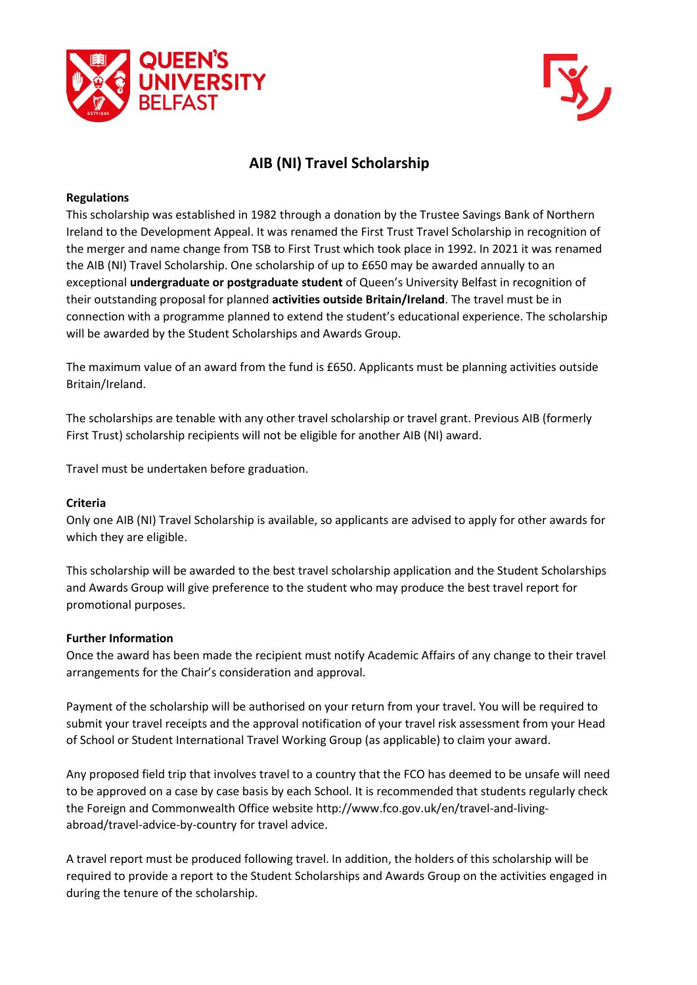



# **AIB (NI) Travel Scholarship**

### **Regulations**

This scholarship was established in 1982 through a donation by the Trustee Savings Bank of Northern Ireland to the Development Appeal. It was renamed the First Trust Travel Scholarship in recognition of the merger and name change from TSB to First Trust which took place in 1992. In 2021 it was renamed the AIB (NI) Travel Scholarship. One scholarship of up to £650 may be awarded annually to an exceptional **undergraduate or postgraduate student** of Queen's University Belfast in recognition of their outstanding proposal for planned **activities outside Britain/Ireland**. The travel must be in connection with a programme planned to extend the student's educational experience. The scholarship will be awarded by the Student Scholarships and Awards Group.

The maximum value of an award from the fund is £650. Applicants must be planning activities outside Britain/Ireland.

The scholarships are tenable with any other travel scholarship or travel grant. Previous AIB (formerly First Trust) scholarship recipients will not be eligible for another AIB (NI) award.

Travel must be undertaken before graduation.

### **Criteria**

Only one AIB (NI) Travel Scholarship is available, so applicants are advised to apply for other awards for which they are eligible.

This scholarship will be awarded to the best travel scholarship application and the Student Scholarships and Awards Group will give preference to the student who may produce the best travel report for promotional purposes.

#### **Further Information**

Once the award has been made the recipient must notify Academic Affairs of any change to their travel arrangements for the Chair's consideration and approval.

Payment of the scholarship will be authorised on your return from your travel. You will be required to submit your travel receipts and the approval notification of your travel risk assessment from your Head of School or Student International Travel Working Group (as applicable) to claim your award.

Any proposed field trip that involves travel to a country that the FCO has deemed to be unsafe will need to be approved on a case by case basis by each School. It is recommended that students regularly check the Foreign and Commonwealth Office website http://www.fco.gov.uk/en/travel-and-livingabroad/travel-advice-by-country for travel advice.

A travel report must be produced following travel. In addition, the holders of this scholarship will be required to provide a report to the Student Scholarships and Awards Group on the activities engaged in during the tenure of the scholarship.